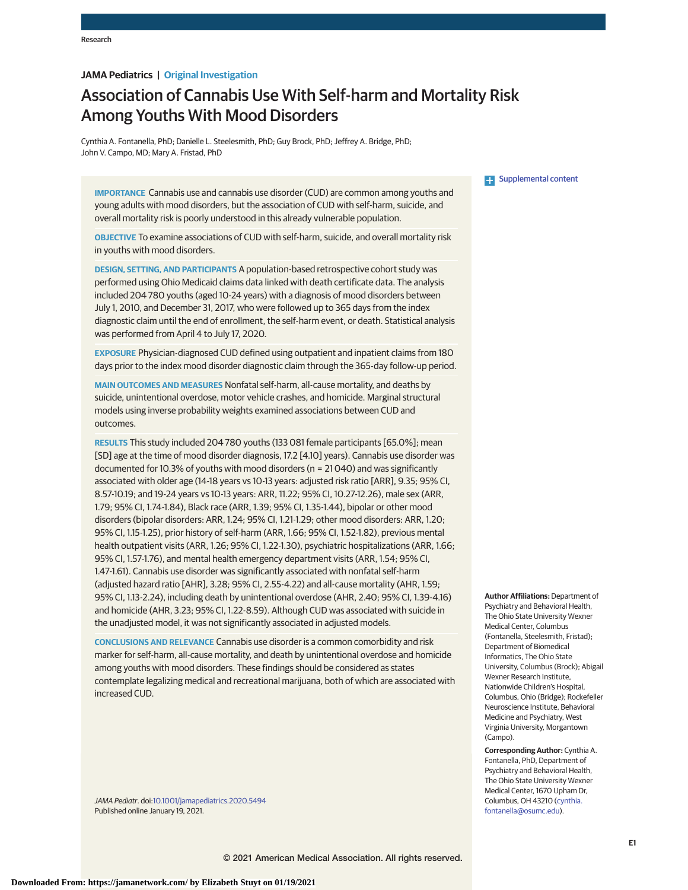# **JAMA Pediatrics | Original Investigation**

# Association of Cannabis Use With Self-harm and Mortality Risk Among Youths With Mood Disorders

Cynthia A. Fontanella, PhD; Danielle L. Steelesmith, PhD; Guy Brock, PhD; Jeffrey A. Bridge, PhD; John V. Campo, MD; Mary A. Fristad, PhD

**IMPORTANCE** Cannabis use and cannabis use disorder (CUD) are common among youths and young adults with mood disorders, but the association of CUD with self-harm, suicide, and overall mortality risk is poorly understood in this already vulnerable population.

**OBJECTIVE** To examine associations of CUD with self-harm, suicide, and overall mortality risk in youths with mood disorders.

**DESIGN, SETTING, AND PARTICIPANTS** A population-based retrospective cohort study was performed using Ohio Medicaid claims data linked with death certificate data. The analysis included 204 780 youths (aged 10-24 years) with a diagnosis of mood disorders between July 1, 2010, and December 31, 2017, who were followed up to 365 days from the index diagnostic claim until the end of enrollment, the self-harm event, or death. Statistical analysis was performed from April 4 to July 17, 2020.

**EXPOSURE** Physician-diagnosed CUD defined using outpatient and inpatient claims from 180 days prior to the index mood disorder diagnostic claim through the 365-day follow-up period.

**MAIN OUTCOMES AND MEASURES** Nonfatal self-harm, all-cause mortality, and deaths by suicide, unintentional overdose, motor vehicle crashes, and homicide. Marginal structural models using inverse probability weights examined associations between CUD and outcomes.

**RESULTS** This study included 204 780 youths (133 081 female participants [65.0%]; mean [SD] age at the time of mood disorder diagnosis, 17.2 [4.10] years). Cannabis use disorder was documented for 10.3% of youths with mood disorders (n = 21 040) and was significantly associated with older age (14-18 years vs 10-13 years: adjusted risk ratio [ARR], 9.35; 95% CI, 8.57-10.19; and 19-24 years vs 10-13 years: ARR, 11.22; 95% CI, 10.27-12.26), male sex (ARR, 1.79; 95% CI, 1.74-1.84), Black race (ARR, 1.39; 95% CI, 1.35-1.44), bipolar or other mood disorders (bipolar disorders: ARR, 1.24; 95% CI, 1.21-1.29; other mood disorders: ARR, 1.20; 95% CI, 1.15-1.25), prior history of self-harm (ARR, 1.66; 95% CI, 1.52-1.82), previous mental health outpatient visits (ARR, 1.26; 95% CI, 1.22-1.30), psychiatric hospitalizations (ARR, 1.66; 95% CI, 1.57-1.76), and mental health emergency department visits (ARR, 1.54; 95% CI, 1.47-1.61). Cannabis use disorder was significantly associated with nonfatal self-harm (adjusted hazard ratio [AHR], 3.28; 95% CI, 2.55-4.22) and all-cause mortality (AHR, 1.59; 95% CI, 1.13-2.24), including death by unintentional overdose (AHR, 2.40; 95% CI, 1.39-4.16) and homicide (AHR, 3.23; 95% CI, 1.22-8.59). Although CUD was associated with suicide in the unadjusted model, it was not significantly associated in adjusted models.

**CONCLUSIONS AND RELEVANCE** Cannabis use disorder is a common comorbidity and risk marker for self-harm, all-cause mortality, and death by unintentional overdose and homicide among youths with mood disorders. These findings should be considered as states contemplate legalizing medical and recreational marijuana, both of which are associated with increased CUD.

JAMA Pediatr. doi[:10.1001/jamapediatrics.2020.5494](https://jamanetwork.com/journals/jama/fullarticle/10.1001/jamapediatrics.2020.5494?utm_campaign=articlePDF%26utm_medium=articlePDFlink%26utm_source=articlePDF%26utm_content=jamapediatrics.2020.5494) Published online January 19, 2021.

**Examplemental content** 

**Author Affiliations:** Department of Psychiatry and Behavioral Health, The Ohio State University Wexner Medical Center, Columbus (Fontanella, Steelesmith, Fristad); Department of Biomedical Informatics, The Ohio State University, Columbus (Brock); Abigail Wexner Research Institute, Nationwide Children's Hospital, Columbus, Ohio (Bridge); Rockefeller Neuroscience Institute, Behavioral Medicine and Psychiatry, West Virginia University, Morgantown (Campo).

**Corresponding Author:** Cynthia A. Fontanella, PhD, Department of Psychiatry and Behavioral Health, The Ohio State University Wexner Medical Center, 1670 Upham Dr, Columbus, OH 43210 [\(cynthia.](mailto:cynthia.fontanella@osumc.edu) [fontanella@osumc.edu\)](mailto:cynthia.fontanella@osumc.edu).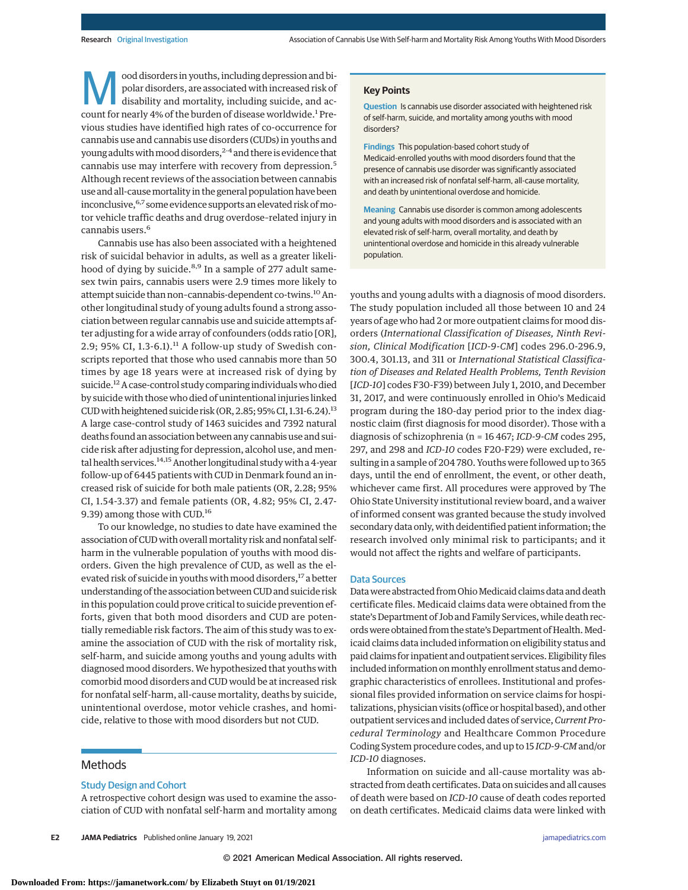ood disorders in youths, including depression and bipolar disorders, are associated with increased risk of disability and mortality, including suicide, and account for nearly 4% of the burden of disease worldwide.<sup>1</sup> Previous studies have identified high rates of co-occurrence for cannabis use and cannabis use disorders (CUDs) in youths and young adults with mood disorders,<sup>2-4</sup> and there is evidence that cannabis use may interfere with recovery from depression.<sup>5</sup> Although recent reviews of the association between cannabis use and all-causemortality in the general population have been inconclusive, <sup>6,7</sup> some evidence supports an elevated risk of motor vehicle traffic deaths and drug overdose–related injury in cannabis users.<sup>6</sup>

Cannabis use has also been associated with a heightened risk of suicidal behavior in adults, as well as a greater likelihood of dying by suicide.<sup>8,9</sup> In a sample of 277 adult samesex twin pairs, cannabis users were 2.9 times more likely to attempt suicide than non-cannabis-dependent co-twins.<sup>10</sup> Another longitudinal study of young adults found a strong association between regular cannabis use and suicide attempts after adjusting for a wide array of confounders (odds ratio [OR], 2.9; 95% CI, 1.3-6.1).<sup>11</sup> A follow-up study of Swedish conscripts reported that those who used cannabis more than 50 times by age 18 years were at increased risk of dying by suicide.12A case-control study comparing individuals who died by suicide with those who died of unintentional injuries linked CUD with heightened suicide risk (OR, 2.85; 95% CI, 1.31-6.24).<sup>13</sup> A large case-control study of 1463 suicides and 7392 natural deaths found an association between any cannabis use and suicide risk after adjusting for depression, alcohol use, and mental health services.<sup>14,15</sup> Another longitudinal study with a 4-year follow-up of 6445 patients with CUD in Denmark found an increased risk of suicide for both male patients (OR, 2.28; 95% CI, 1.54-3.37) and female patients (OR, 4.82; 95% CI, 2.47- 9.39) among those with CUD.<sup>16</sup>

To our knowledge, no studies to date have examined the association of CUD with overall mortality risk and nonfatal selfharm in the vulnerable population of youths with mood disorders. Given the high prevalence of CUD, as well as the elevated risk of suicide in youths with mood disorders,<sup>17</sup> a better understanding of the association between CUD and suicide risk in this population could prove critical to suicide prevention efforts, given that both mood disorders and CUD are potentially remediable risk factors. The aim of this study was to examine the association of CUD with the risk of mortality risk, self-harm, and suicide among youths and young adults with diagnosed mood disorders.We hypothesized that youths with comorbid mood disorders and CUD would be at increased risk for nonfatal self-harm, all-cause mortality, deaths by suicide, unintentional overdose, motor vehicle crashes, and homicide, relative to those with mood disorders but not CUD.

## Methods

#### Study Design and Cohort

A retrospective cohort design was used to examine the association of CUD with nonfatal self-harm and mortality among

**E2 JAMA Pediatrics** Published online January 19, 2021 **(Reprinted)** [jamapediatrics.com](http://www.jamapediatrics.com?utm_campaign=articlePDF%26utm_medium=articlePDFlink%26utm_source=articlePDF%26utm_content=jamapediatrics.2020.5494)

#### **Key Points**

**Question** Is cannabis use disorder associated with heightened risk of self-harm, suicide, and mortality among youths with mood disorders?

**Findings** This population-based cohort study of Medicaid-enrolled youths with mood disorders found that the presence of cannabis use disorder was significantly associated with an increased risk of nonfatal self-harm, all-cause mortality, and death by unintentional overdose and homicide.

**Meaning** Cannabis use disorder is common among adolescents and young adults with mood disorders and is associated with an elevated risk of self-harm, overall mortality, and death by unintentional overdose and homicide in this already vulnerable population.

youths and young adults with a diagnosis of mood disorders. The study population included all those between 10 and 24 years of age who had 2 or more outpatient claims for mood disorders (*International Classification of Diseases, Ninth Revision, Clinical Modification* [*ICD-9-CM*] codes 296.0-296.9, 300.4, 301.13, and 311 or *International Statistical Classification of Diseases and Related Health Problems, Tenth Revision* [*ICD-10*] codes F30-F39) between July 1, 2010, and December 31, 2017, and were continuously enrolled in Ohio's Medicaid program during the 180-day period prior to the index diagnostic claim (first diagnosis for mood disorder). Those with a diagnosis of schizophrenia (n = 16 467; *ICD-9-CM* codes 295, 297, and 298 and *ICD-10* codes F20-F29) were excluded, resulting in a sample of 204 780. Youths were followed up to 365 days, until the end of enrollment, the event, or other death, whichever came first. All procedures were approved by The Ohio State University institutional review board, and a waiver of informed consent was granted because the study involved secondary data only, with deidentified patient information; the research involved only minimal risk to participants; and it would not affect the rights and welfare of participants.

#### Data Sources

Data were abstracted from Ohio Medicaid claims data and death certificate files. Medicaid claims data were obtained from the state's Department of Job and Family Services, while death records were obtained from the state's Department of Health. Medicaid claims data included information on eligibility status and paid claims for inpatient and outpatient services. Eligibility files included information on monthly enrollment status and demographic characteristics of enrollees. Institutional and professional files provided information on service claims for hospitalizations, physician visits (office or hospital based), and other outpatient services and included dates of service,*Current Procedural Terminology* and Healthcare Common Procedure Coding System procedure codes, and up to 15 *ICD-9-CM*and/or *ICD-10* diagnoses.

Information on suicide and all-cause mortality was abstracted from death certificates. Data on suicides and all causes of death were based on *ICD-10* cause of death codes reported on death certificates. Medicaid claims data were linked with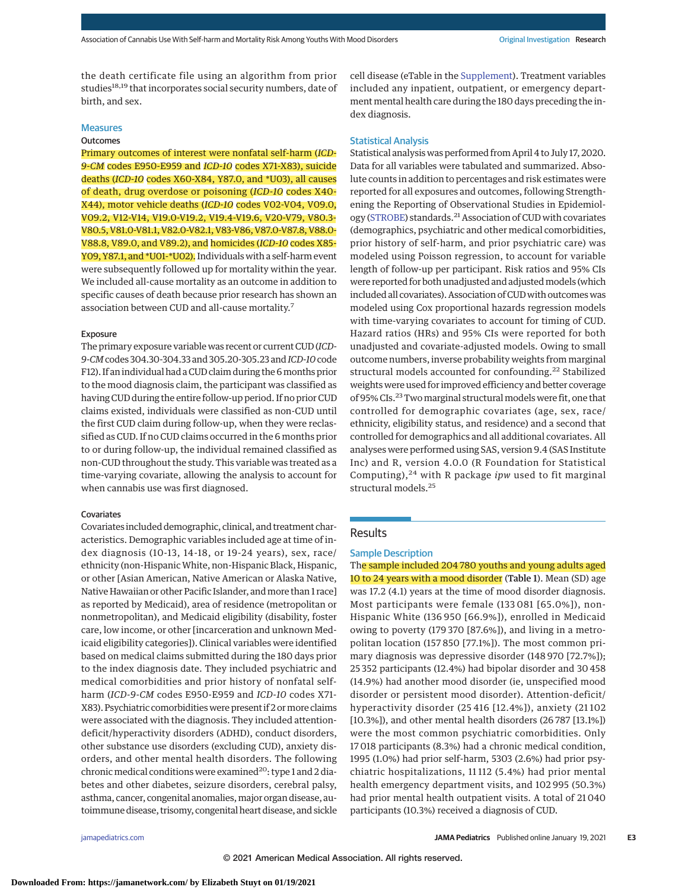the death certificate file using an algorithm from prior studies<sup>18,19</sup> that incorporates social security numbers, date of birth, and sex.

# Measures

# **Outcomes**

Primary outcomes of interest were nonfatal self-harm (*ICD-9-CM* codes E950-E959 and *ICD-10* codes X71-X83), suicide deaths (*ICD-10* codes X60-X84, Y87.0, and \*U03), all causes of death, drug overdose or poisoning (*ICD-10* codes X40- X44), motor vehicle deaths (*ICD-10* codes V02-V04, V09.0, V09.2, V12-V14, V19.0-V19.2, V19.4-V19.6, V20-V79, V80.3- V80.5,V81.0-V81.1,V82.0-V82.1,V83-V86,V87.0-V87.8,V88.0- V88.8, V89.0, and V89.2), and homicides (*ICD-10* codes X85- Y09, Y87.1, and \*U01-\*U02). Individuals with a self-harm event were subsequently followed up for mortality within the year. We included all-cause mortality as an outcome in addition to specific causes of death because prior research has shown an association between CUD and all-cause mortality.<sup>7</sup>

#### Exposure

The primary exposure variable was recent or current CUD (*ICD-9-CM*codes 304.30-304.33 and 305.20-305.23 and*ICD-10*code F12). If an individual had a CUD claim during the 6 months prior to the mood diagnosis claim, the participant was classified as having CUD during the entire follow-up period. If no prior CUD claims existed, individuals were classified as non-CUD until the first CUD claim during follow-up, when they were reclassified as CUD. If no CUD claims occurred in the 6 months prior to or during follow-up, the individual remained classified as non-CUD throughout the study. This variable was treated as a time-varying covariate, allowing the analysis to account for when cannabis use was first diagnosed.

#### Covariates

Covariates included demographic, clinical, and treatment characteristics. Demographic variables included age at time of index diagnosis (10-13, 14-18, or 19-24 years), sex, race/ ethnicity (non-HispanicWhite, non-Hispanic Black, Hispanic, or other [Asian American, Native American or Alaska Native, Native Hawaiian or other Pacific Islander, and more than 1 race] as reported by Medicaid), area of residence (metropolitan or nonmetropolitan), and Medicaid eligibility (disability, foster care, low income, or other [incarceration and unknown Medicaid eligibility categories]). Clinical variables were identified based on medical claims submitted during the 180 days prior to the index diagnosis date. They included psychiatric and medical comorbidities and prior history of nonfatal selfharm (*ICD-9-CM* codes E950-E959 and *ICD-10* codes X71- X83). Psychiatric comorbidities were present if 2 ormore claims were associated with the diagnosis. They included attentiondeficit/hyperactivity disorders (ADHD), conduct disorders, other substance use disorders (excluding CUD), anxiety disorders, and other mental health disorders. The following chronic medical conditions were examined<sup>20</sup>: type 1 and 2 diabetes and other diabetes, seizure disorders, cerebral palsy, asthma, cancer, congenital anomalies,major organ disease, autoimmune disease, trisomy, congenital heart disease, and sickle

cell disease (eTable in the [Supplement\)](https://jamanetwork.com/journals/jama/fullarticle/10.1001/jamapediatrics.2020.5494?utm_campaign=articlePDF%26utm_medium=articlePDFlink%26utm_source=articlePDF%26utm_content=jamapediatrics.2020.5494). Treatment variables included any inpatient, outpatient, or emergency department mental health care during the 180 days preceding the index diagnosis.

#### Statistical Analysis

Statistical analysis was performed from April 4 to July 17, 2020. Data for all variables were tabulated and summarized. Absolute counts in addition to percentages and risk estimates were reported for all exposures and outcomes, following Strengthening the Reporting of Observational Studies in Epidemiol-ogy [\(STROBE\)](https://www.equator-network.org/reporting-guidelines/strobe/) standards.<sup>21</sup> Association of CUD with covariates (demographics, psychiatric and other medical comorbidities, prior history of self-harm, and prior psychiatric care) was modeled using Poisson regression, to account for variable length of follow-up per participant. Risk ratios and 95% CIs were reported for both unadjusted and adjusted models (which included all covariates). Association of CUD with outcomes was modeled using Cox proportional hazards regression models with time-varying covariates to account for timing of CUD. Hazard ratios (HRs) and 95% CIs were reported for both unadjusted and covariate-adjusted models. Owing to small outcome numbers, inverse probability weights from marginal structural models accounted for confounding.<sup>22</sup> Stabilized weights were used for improved efficiency and better coverage of 95% CIs.<sup>23</sup> Two marginal structural models were fit, one that controlled for demographic covariates (age, sex, race/ ethnicity, eligibility status, and residence) and a second that controlled for demographics and all additional covariates. All analyses were performed using SAS, version 9.4 (SAS Institute Inc) and R, version 4.0.0 (R Foundation for Statistical Computing),<sup>24</sup> with R package *ipw* used to fit marginal structural models.<sup>25</sup>

#### Results

#### Sample Description

The sample included 204 780 youths and young adults aged 10 to 24 years with a mood disorder (Table 1). Mean (SD) age was 17.2 (4.1) years at the time of mood disorder diagnosis. Most participants were female (133 081 [65.0%]), non-Hispanic White (136 950 [66.9%]), enrolled in Medicaid owing to poverty (179 370 [87.6%]), and living in a metropolitan location (157 850 [77.1%]). The most common primary diagnosis was depressive disorder (148 970 [72.7%]); 25 352 participants (12.4%) had bipolar disorder and 30 458 (14.9%) had another mood disorder (ie, unspecified mood disorder or persistent mood disorder). Attention-deficit/ hyperactivity disorder (25 416 [12.4%]), anxiety (21 102 [10.3%]), and other mental health disorders (26 787 [13.1%]) were the most common psychiatric comorbidities. Only 17 018 participants (8.3%) had a chronic medical condition, 1995 (1.0%) had prior self-harm, 5303 (2.6%) had prior psychiatric hospitalizations, 11 112 (5.4%) had prior mental health emergency department visits, and 102 995 (50.3%) had prior mental health outpatient visits. A total of 21 040 participants (10.3%) received a diagnosis of CUD.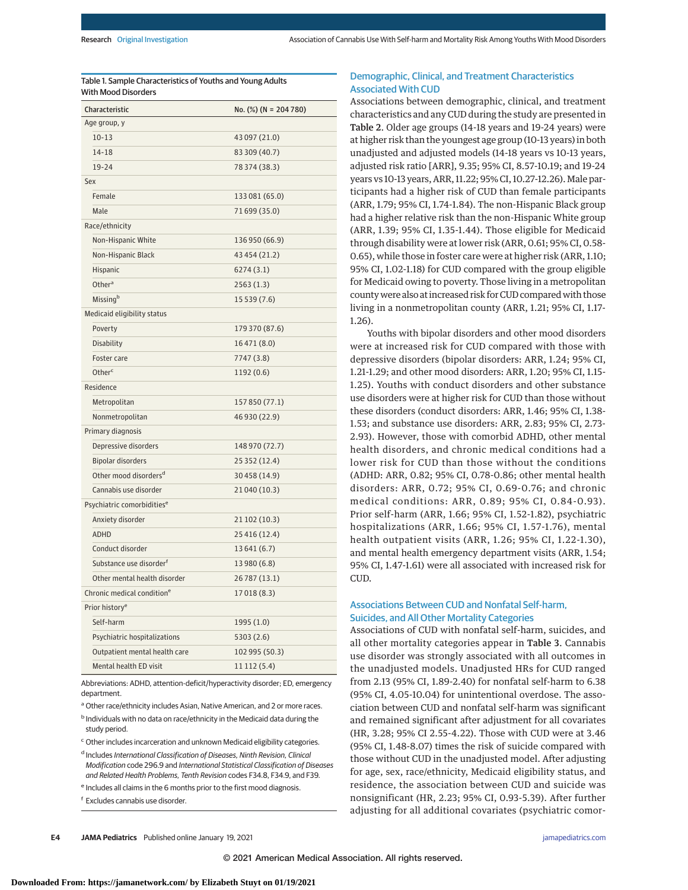| Table 1. Sample Characteristics of Youths and Young Adults |  |
|------------------------------------------------------------|--|
| With Mood Disorders                                        |  |

| Characteristic                         | No. (%) (N = 204 780) |
|----------------------------------------|-----------------------|
| Age group, y                           |                       |
| $10 - 13$                              | 43 097 (21.0)         |
| $14 - 18$                              | 83 309 (40.7)         |
| 19-24                                  | 78 374 (38.3)         |
| Sex                                    |                       |
| Female                                 | 133 081 (65.0)        |
| Male                                   | 71 699 (35.0)         |
| Race/ethnicity                         |                       |
| Non-Hispanic White                     | 136 950 (66.9)        |
| Non-Hispanic Black                     | 43 454 (21.2)         |
| Hispanic                               | 6274(3.1)             |
| Other <sup>a</sup>                     | 2563(1.3)             |
| Missingb                               | 15 539 (7.6)          |
| Medicaid eligibility status            |                       |
| Poverty                                | 179 370 (87.6)        |
| <b>Disability</b>                      | 16471 (8.0)           |
| Foster care                            | 7747 (3.8)            |
| Otherc                                 | 1192 (0.6)            |
| Residence                              |                       |
| Metropolitan                           | 157 850 (77.1)        |
| Nonmetropolitan                        | 46 930 (22.9)         |
| Primary diagnosis                      |                       |
| Depressive disorders                   | 148 970 (72.7)        |
| <b>Bipolar disorders</b>               | 25 352 (12.4)         |
| Other mood disorders <sup>d</sup>      | 30458 (14.9)          |
| Cannabis use disorder                  | 21 040 (10.3)         |
| Psychiatric comorbidities <sup>e</sup> |                       |
| Anxiety disorder                       | 21 102 (10.3)         |
| <b>ADHD</b>                            | 25 416 (12.4)         |
| Conduct disorder                       | 13 641 (6.7)          |
| Substance use disorder <sup>f</sup>    | 13 980 (6.8)          |
| Other mental health disorder           | 26 787 (13.1)         |
| Chronic medical condition <sup>e</sup> | 17 018 (8.3)          |
| Prior history <sup>e</sup>             |                       |
| Self-harm                              | 1995 (1.0)            |
| Psychiatric hospitalizations           | 5303 (2.6)            |
| Outpatient mental health care          | 102 995 (50.3)        |
| Mental health ED visit                 | 11 112 (5.4)          |

Abbreviations: ADHD, attention-deficit/hyperactivity disorder; ED, emergency department.

a Other race/ethnicity includes Asian, Native American, and 2 or more races.

<sup>b</sup> Individuals with no data on race/ethnicity in the Medicaid data during the study period.

<sup>c</sup> Other includes incarceration and unknown Medicaid eligibility categories.

<sup>d</sup> Includes International Classification of Diseases, Ninth Revision, Clinical Modification code 296.9 and International Statistical Classification of Diseases and Related Health Problems, Tenth Revision codes F34.8, F34.9, and F39.

<sup>e</sup> Includes all claims in the 6 months prior to the first mood diagnosis.

<sup>f</sup> Excludes cannabis use disorder.

## Demographic, Clinical, and Treatment Characteristics Associated With CUD

Associations between demographic, clinical, and treatment characteristics and any CUD during the study are presented in Table 2. Older age groups (14-18 years and 19-24 years) were at higher risk than the youngest age group (10-13 years) in both unadjusted and adjusted models (14-18 years vs 10-13 years, adjusted risk ratio [ARR], 9.35; 95% CI, 8.57-10.19; and 19-24 years vs 10-13 years, ARR, 11.22; 95% CI, 10.27-12.26). Male participants had a higher risk of CUD than female participants (ARR, 1.79; 95% CI, 1.74-1.84). The non-Hispanic Black group had a higher relative risk than the non-Hispanic White group (ARR, 1.39; 95% CI, 1.35-1.44). Those eligible for Medicaid through disability were at lower risk (ARR, 0.61; 95% CI, 0.58- 0.65), while those in foster care were at higher risk (ARR, 1.10; 95% CI, 1.02-1.18) for CUD compared with the group eligible for Medicaid owing to poverty. Those living in a metropolitan county were also at increased risk for CUD compared with those living in a nonmetropolitan county (ARR, 1.21; 95% CI, 1.17- 1.26).

Youths with bipolar disorders and other mood disorders were at increased risk for CUD compared with those with depressive disorders (bipolar disorders: ARR, 1.24; 95% CI, 1.21-1.29; and other mood disorders: ARR, 1.20; 95% CI, 1.15- 1.25). Youths with conduct disorders and other substance use disorders were at higher risk for CUD than those without these disorders (conduct disorders: ARR, 1.46; 95% CI, 1.38- 1.53; and substance use disorders: ARR, 2.83; 95% CI, 2.73- 2.93). However, those with comorbid ADHD, other mental health disorders, and chronic medical conditions had a lower risk for CUD than those without the conditions (ADHD: ARR, 0.82; 95% CI, 0.78-0.86; other mental health disorders: ARR, 0.72; 95% CI, 0.69-0.76; and chronic medical conditions: ARR, 0.89; 95% CI, 0.84-0.93). Prior self-harm (ARR, 1.66; 95% CI, 1.52-1.82), psychiatric hospitalizations (ARR, 1.66; 95% CI, 1.57-1.76), mental health outpatient visits (ARR, 1.26; 95% CI, 1.22-1.30), and mental health emergency department visits (ARR, 1.54; 95% CI, 1.47-1.61) were all associated with increased risk for CUD.

## Associations Between CUD and Nonfatal Self-harm, Suicides, and All Other Mortality Categories

Associations of CUD with nonfatal self-harm, suicides, and all other mortality categories appear in Table 3. Cannabis use disorder was strongly associated with all outcomes in the unadjusted models. Unadjusted HRs for CUD ranged from 2.13 (95% CI, 1.89-2.40) for nonfatal self-harm to 6.38 (95% CI, 4.05-10.04) for unintentional overdose. The association between CUD and nonfatal self-harm was significant and remained significant after adjustment for all covariates (HR, 3.28; 95% CI 2.55-4.22). Those with CUD were at 3.46 (95% CI, 1.48-8.07) times the risk of suicide compared with those without CUD in the unadjusted model. After adjusting for age, sex, race/ethnicity, Medicaid eligibility status, and residence, the association between CUD and suicide was nonsignificant (HR, 2.23; 95% CI, 0.93-5.39). After further adjusting for all additional covariates (psychiatric comor-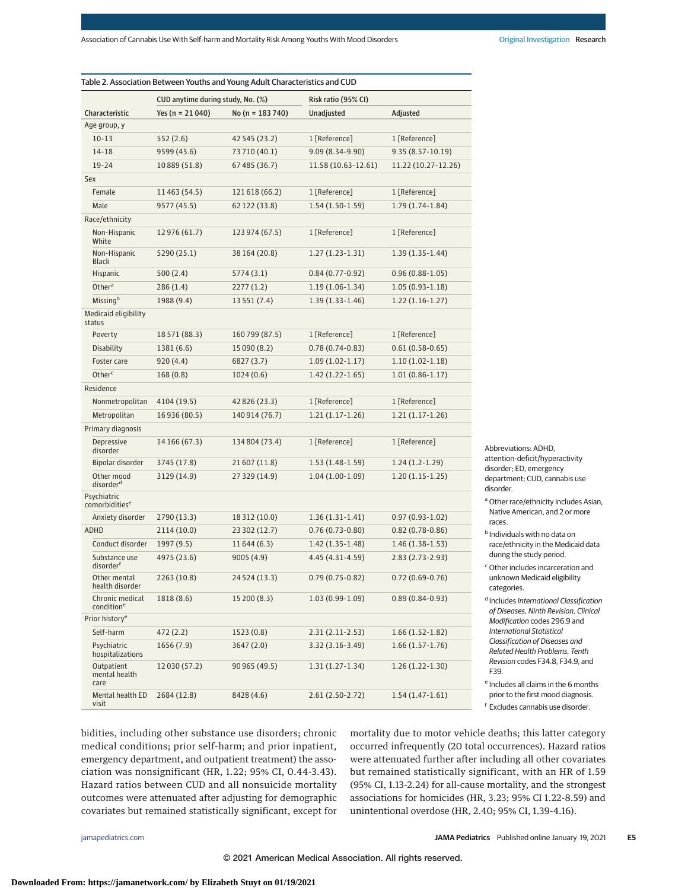|                                           | CUD anytime during study, No. (%) |                  | Risk ratio (95% CI) |                     |  |
|-------------------------------------------|-----------------------------------|------------------|---------------------|---------------------|--|
| Characteristic                            | Yes ( $n = 21040$ )               | No (n = 183 740) | <b>Unadjusted</b>   | Adjusted            |  |
| Age group, y                              |                                   |                  |                     |                     |  |
| $10 - 13$                                 | 552 (2.6)                         | 42 545 (23.2)    | 1 [Reference]       | 1 [Reference]       |  |
| 14-18                                     | 9599 (45.6)                       | 73710 (40.1)     | 9.09 (8.34-9.90)    | $9.35(8.57-10.19)$  |  |
| 19-24                                     | 10 889 (51.8)                     | 67 485 (36.7)    | 11.58 (10.63-12.61) | 11.22 (10.27-12.26) |  |
| Sex                                       |                                   |                  |                     |                     |  |
| Female                                    | 11 463 (54.5)                     | 121618 (66.2)    | 1 [Reference]       | 1 [Reference]       |  |
| Male                                      | 9577 (45.5)                       | 62 122 (33.8)    | $1.54(1.50-1.59)$   | $1.79(1.74-1.84)$   |  |
| Race/ethnicity                            |                                   |                  |                     |                     |  |
| Non-Hispanic<br>White                     | 12 976 (61.7)                     | 123 974 (67.5)   | 1 [Reference]       | 1 [Reference]       |  |
| Non-Hispanic<br>Black                     | 5290 (25.1)                       | 38 164 (20.8)    | $1.27(1.23-1.31)$   | $1.39(1.35-1.44)$   |  |
| Hispanic                                  | 500(2.4)                          | 5774 (3.1)       | $0.84(0.77-0.92)$   | $0.96(0.88-1.05)$   |  |
| Other <sup>a</sup>                        | 286 (1.4)                         | 2277 (1.2)       | $1.19(1.06-1.34)$   | $1.05(0.93-1.18)$   |  |
| Missing <sup>b</sup>                      | 1988 (9.4)                        | 13 551 (7.4)     | $1.39(1.33-1.46)$   | $1.22(1.16-1.27)$   |  |
| Medicaid eligibility<br>status            |                                   |                  |                     |                     |  |
| Poverty                                   | 18 571 (88.3)                     | 160799 (87.5)    | 1 [Reference]       | 1 [Reference]       |  |
| Disability                                | 1381 (6.6)                        | 15 090 (8.2)     | $0.78(0.74-0.83)$   | $0.61(0.58-0.65)$   |  |
| Foster care                               | 920(4.4)                          | 6827 (3.7)       | $1.09(1.02 - 1.17)$ | $1.10(1.02-1.18)$   |  |
| Otherc                                    | 168(0.8)                          | 1024(0.6)        | $1.42(1.22 - 1.65)$ | $1.01(0.86-1.17)$   |  |
| Residence                                 |                                   |                  |                     |                     |  |
| Nonmetropolitan                           | 4104 (19.5)                       | 42 826 (23.3)    | 1 [Reference]       | 1 [Reference]       |  |
| Metropolitan                              | 16 936 (80.5)                     | 140914 (76.7)    | $1.21(1.17-1.26)$   | $1.21(1.17-1.26)$   |  |
| Primary diagnosis                         |                                   |                  |                     |                     |  |
| Depressive<br>disorder                    | 14 166 (67.3)                     | 134 804 (73.4)   | 1 [Reference]       | 1 [Reference]       |  |
| Bipolar disorder                          | 3745 (17.8)                       | 21607 (11.8)     | $1.53(1.48-1.59)$   | $1.24(1.2-1.29)$    |  |
| Other mood<br>disorder <sup>d</sup>       | 3129 (14.9)                       | 27 329 (14.9)    | $1.04(1.00-1.09)$   | $1.20(1.15-1.25)$   |  |
| Psychiatric<br>comorbidities <sup>e</sup> |                                   |                  |                     |                     |  |
| Anxiety disorder                          | 2790 (13.3)                       | 18 312 (10.0)    | $1.36(1.31-1.41)$   | $0.97(0.93-1.02)$   |  |
| ADHD                                      | 2114 (10.0)                       | 23 302 (12.7)    | $0.76(0.73-0.80)$   | $0.82(0.78-0.86)$   |  |
| Conduct disorder                          | 1997 (9.5)                        | 11644 (6.3)      | $1.42(1.35-1.48)$   | $1.46(1.38-1.53)$   |  |
| Substance use<br>disorder <sup>f</sup>    | 4975 (23.6)                       | 9005 (4.9)       | 4.45 (4.31-4.59)    | 2.83 (2.73-2.93)    |  |
| Other mental<br>health disorder           | 2263 (10.8)                       | 24 5 24 (13.3)   | $0.79(0.75-0.82)$   | $0.72(0.69 - 0.76)$ |  |
| Chronic medical<br>condition <sup>e</sup> | 1818 (8.6)                        | 15 200 (8.3)     | $1.03(0.99-1.09)$   | $0.89(0.84 - 0.93)$ |  |
| Prior history <sup>e</sup>                |                                   |                  |                     |                     |  |
| Self-harm                                 | 472(2.2)                          | 1523(0.8)        | $2.31(2.11-2.53)$   | $1.66(1.52-1.82)$   |  |
| Psychiatric<br>hospitalizations           | 1656 (7.9)                        | 3647 (2.0)       | 3.32 (3.16-3.49)    | $1.66(1.57-1.76)$   |  |
| Outpatient<br>mental health<br>care       | 12 030 (57.2)                     | 90 965 (49.5)    | $1.31(1.27-1.34)$   | $1.26(1.22-1.30)$   |  |
| Mental health ED                          | 2684 (12.8)                       | 8428 (4.6)       | $2.61(2.50-2.72)$   | $1.54(1.47-1.61)$   |  |

attention-deficit/hyperactivity disorder; ED, emergency department; CUD, cannabis use disorder.

Abbreviations: ADHD,

<sup>a</sup> Other race/ethnicity includes Asian, Native American, and 2 or more races.

<sup>b</sup> Individuals with no data on race/ethnicity in the Medicaid data during the study period.

<sup>c</sup> Other includes incarceration and unknown Medicaid eligibility categories.

<sup>d</sup> Includes International Classification of Diseases, Ninth Revision, Clinical Modification codes 296.9 and International Statistical Classification of Diseases and Related Health Problems, Tenth Revision codes F34.8, F34.9, and F39.

<sup>e</sup> Includes all claims in the 6 months prior to the first mood diagnosis.

<sup>f</sup> Excludes cannabis use disorder.

bidities, including other substance use disorders; chronic medical conditions; prior self-harm; and prior inpatient, emergency department, and outpatient treatment) the association was nonsignificant (HR, 1.22; 95% CI, 0.44-3.43). Hazard ratios between CUD and all nonsuicide mortality outcomes were attenuated after adjusting for demographic covariates but remained statistically significant, except for

mortality due to motor vehicle deaths; this latter category occurred infrequently (20 total occurrences). Hazard ratios were attenuated further after including all other covariates but remained statistically significant, with an HR of 1.59 (95% CI, 1.13-2.24) for all-cause mortality, and the strongest associations for homicides (HR, 3.23; 95% CI 1.22-8.59) and unintentional overdose (HR, 2.40; 95% CI, 1.39-4.16).

visit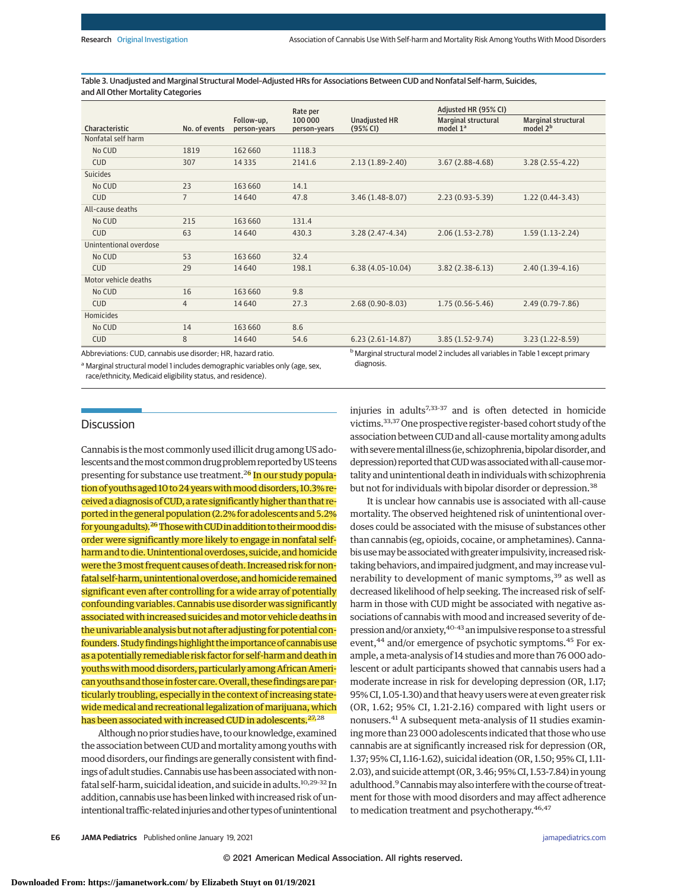Table 3. Unadjusted and Marginal Structural Model–Adjusted HRs for Associations Between CUD and Nonfatal Self-harm, Suicides, and All Other Mortality Categories

|                                                           |                |                            | Rate per               |                                                                                           | Adjusted HR (95% CI)                        |                                                    |
|-----------------------------------------------------------|----------------|----------------------------|------------------------|-------------------------------------------------------------------------------------------|---------------------------------------------|----------------------------------------------------|
| Characteristic                                            | No. of events  | Follow-up,<br>person-vears | 100000<br>person-years | <b>Unadjusted HR</b><br>(95% CI)                                                          | Marginal structural<br>model 1 <sup>a</sup> | <b>Marginal structural</b><br>model 2 <sup>b</sup> |
| Nonfatal self harm                                        |                |                            |                        |                                                                                           |                                             |                                                    |
| No CUD                                                    | 1819           | 162 660                    | 1118.3                 |                                                                                           |                                             |                                                    |
| CUD                                                       | 307            | 14 3 3 5                   | 2141.6                 | $2.13(1.89-2.40)$                                                                         | $3.67(2.88-4.68)$                           | $3.28(2.55 - 4.22)$                                |
| <b>Suicides</b>                                           |                |                            |                        |                                                                                           |                                             |                                                    |
| No CUD                                                    | 23             | 163 660                    | 14.1                   |                                                                                           |                                             |                                                    |
| <b>CUD</b>                                                | $\overline{7}$ | 14640                      | 47.8                   | $3.46(1.48-8.07)$                                                                         | $2.23(0.93 - 5.39)$                         | $1.22(0.44-3.43)$                                  |
| All-cause deaths                                          |                |                            |                        |                                                                                           |                                             |                                                    |
| No CUD                                                    | 215            | 163 660                    | 131.4                  |                                                                                           |                                             |                                                    |
| <b>CUD</b>                                                | 63             | 14640                      | 430.3                  | $3.28(2.47-4.34)$                                                                         | $2.06(1.53 - 2.78)$                         | $1.59(1.13-2.24)$                                  |
| Unintentional overdose                                    |                |                            |                        |                                                                                           |                                             |                                                    |
| No CUD                                                    | 53             | 163 660                    | 32.4                   |                                                                                           |                                             |                                                    |
| CUD                                                       | 29             | 14640                      | 198.1                  | $6.38(4.05-10.04)$                                                                        | $3.82(2.38-6.13)$                           | $2.40(1.39-4.16)$                                  |
| Motor vehicle deaths                                      |                |                            |                        |                                                                                           |                                             |                                                    |
| No CUD                                                    | 16             | 163 660                    | 9.8                    |                                                                                           |                                             |                                                    |
| <b>CUD</b>                                                | $\overline{4}$ | 14640                      | 27.3                   | $2.68(0.90-8.03)$                                                                         | $1.75(0.56-5.46)$                           | $2.49(0.79 - 7.86)$                                |
| Homicides                                                 |                |                            |                        |                                                                                           |                                             |                                                    |
| No CUD                                                    | 14             | 163 660                    | 8.6                    |                                                                                           |                                             |                                                    |
| <b>CUD</b>                                                | 8              | 14640                      | 54.6                   | $6.23(2.61-14.87)$                                                                        | $3.85(1.52-9.74)$                           | $3.23(1.22 - 8.59)$                                |
| Abbreviations: CUD cannabis use disorder: HR hazard ratio |                |                            |                        | <sup>b</sup> Marginal structural model 2 includes all variables in Table 1 except primary |                                             |                                                    |

Abbreviations: CUD, cannabis use disorder; HR, hazard ratio.

<sup>a</sup> Marginal structural model 1 includes demographic variables only (age, sex, race/ethnicity, Medicaid eligibility status, and residence).

<sup>b</sup> Marginal structural model 2 includes all variables in Table 1 except primary diagnosis.

# **Discussion**

Cannabis is themost commonly used illicit drug among US adolescents and the most common drug problem reported by US teens presenting for substance use treatment.<sup>26</sup> In our study population of youths aged 10 to 24 years with mood disorders, 10.3% received a diagnosis ofCUD, a rate significantly higher than that reported in the general population (2.2% for adolescents and 5.2% for young adults).<sup>26</sup> Those with CUD in addition to their mood disorder were significantly more likely to engage in nonfatal selfharm and to die. Unintentional overdoses, suicide, and homicide were the 3most frequent causes of death. Increased risk for nonfatal self-harm, unintentional overdose, and homicide remained significant even after controlling for a wide array of potentially confounding variables. Cannabis use disorder was significantly associated with increased suicides and motor vehicle deaths in the univariable analysis but not after adjusting for potential confounders. Study findings highlight the importance of cannabis use as a potentially remediable risk factor for self-harm and death in youths with mood disorders, particularly among African American youths and those in foster care. Overall, these findings are particularly troubling, especially in the context of increasing statewide medical and recreational legalization of marijuana, which has been associated with increased CUD in adolescents.<sup>27,28</sup>

Although no prior studies have, to our knowledge, examined the association between CUD and mortality among youths with mood disorders, our findings are generally consistent with findings of adult studies. Cannabis use has been associated with nonfatal self-harm, suicidal ideation, and suicide in adults.10,29-32 In addition, cannabis use has been linkedwith increased risk of unintentional traffic-related injuries and other types of unintentional injuries in adults $7,33-37$  and is often detected in homicide victims.33,37One prospective register-based cohort study of the association between CUD and all-causemortality among adults with severe mental illness (ie, schizophrenia, bipolar disorder, and depression) reported that CUD was associated with all-cause mortality and unintentional death in individuals with schizophrenia but not for individuals with bipolar disorder or depression.<sup>38</sup>

It is unclear how cannabis use is associated with all-cause mortality. The observed heightened risk of unintentional overdoses could be associated with the misuse of substances other than cannabis (eg, opioids, cocaine, or amphetamines). Cannabisusemaybe associatedwith greater impulsivity, increased risktaking behaviors, and impaired judgment, and may increase vulnerability to development of manic symptoms,<sup>39</sup> as well as decreased likelihood of help seeking. The increased risk of selfharm in those with CUD might be associated with negative associations of cannabis with mood and increased severity of depression and/or anxiety, 40-43 an impulsive response to a stressful event,<sup>44</sup> and/or emergence of psychotic symptoms.<sup>45</sup> For example, a meta-analysis of 14 studies and more than 76 000 adolescent or adult participants showed that cannabis users had a moderate increase in risk for developing depression (OR, 1.17; 95% CI, 1.05-1.30) and that heavy users were at even greater risk (OR, 1.62; 95% CI, 1.21-2.16) compared with light users or nonusers.41 A subsequent meta-analysis of 11 studies examiningmore than 23 000 adolescents indicated that those who use cannabis are at significantly increased risk for depression (OR, 1.37; 95% CI, 1.16-1.62), suicidal ideation (OR, 1.50; 95% CI, 1.11- 2.03), and suicide attempt (OR, 3.46; 95% CI, 1.53-7.84) in young adulthood.<sup>9</sup> Cannabis may also interfere with the course of treatment for those with mood disorders and may affect adherence to medication treatment and psychotherapy.<sup>46,47</sup>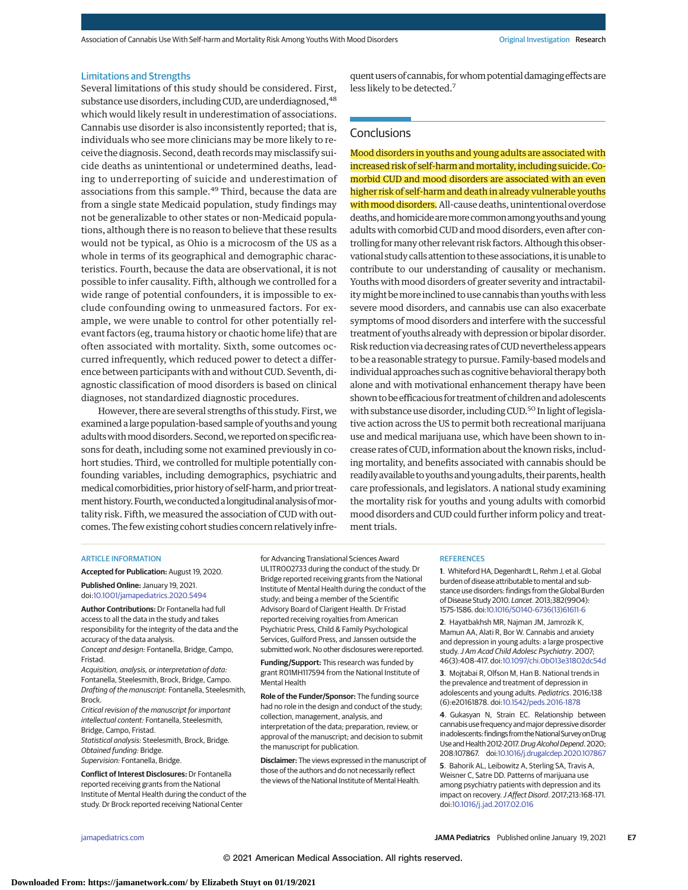Association of Cannabis Use With Self-harm and Mortality Risk Among Youths With Mood Disorders **Original Investigation Research** 

#### Limitations and Strengths

Several limitations of this study should be considered. First, substance use disorders, including CUD, are underdiagnosed, <sup>48</sup> which would likely result in underestimation of associations. Cannabis use disorder is also inconsistently reported; that is, individuals who see more clinicians may be more likely to receive the diagnosis. Second, death recordsmaymisclassify suicide deaths as unintentional or undetermined deaths, leading to underreporting of suicide and underestimation of associations from this sample.<sup>49</sup> Third, because the data are from a single state Medicaid population, study findings may not be generalizable to other states or non-Medicaid populations, although there is no reason to believe that these results would not be typical, as Ohio is a microcosm of the US as a whole in terms of its geographical and demographic characteristics. Fourth, because the data are observational, it is not possible to infer causality. Fifth, although we controlled for a wide range of potential confounders, it is impossible to exclude confounding owing to unmeasured factors. For example, we were unable to control for other potentially relevant factors (eg, trauma history or chaotic home life) that are often associated with mortality. Sixth, some outcomes occurred infrequently, which reduced power to detect a difference between participants with and without CUD. Seventh, diagnostic classification of mood disorders is based on clinical diagnoses, not standardized diagnostic procedures.

However, there are several strengths of this study. First, we examined a large population-based sample of youths and young adults with mood disorders. Second, we reported on specific reasons for death, including some not examined previously in cohort studies. Third, we controlled for multiple potentially confounding variables, including demographics, psychiatric and medical comorbidities, prior history of self-harm, and prior treatment history. Fourth, we conducted a longitudinal analysis of mortality risk. Fifth, we measured the association of CUD with outcomes. The few existing cohort studies concern relatively infre-

quent users of cannabis, for whom potential damaging effects are less likely to be detected.7

## **Conclusions**

Mood disorders in youths and young adults are associated with increased risk of self-harm and mortality, including suicide. Comorbid CUD and mood disorders are associated with an even higher risk of self-harm and death in already vulnerable youths with mood disorders. All-cause deaths, unintentional overdose deaths, and homicide are more common among youths and young adults with comorbid CUD andmood disorders, even after controlling formany other relevant risk factors. Although this observational study calls attention to these associations, it is unable to contribute to our understanding of causality or mechanism. Youths with mood disorders of greater severity and intractability might be more inclined to use cannabis than youths with less severe mood disorders, and cannabis use can also exacerbate symptoms of mood disorders and interfere with the successful treatment of youths alreadywith depression or bipolar disorder. Risk reduction via decreasing rates of CUD nevertheless appears to be a reasonable strategy to pursue. Family-based models and individual approaches such as cognitive behavioral therapy both alone and with motivational enhancement therapy have been shown to be efficacious for treatment of children and adolescents with substance use disorder, including CUD.<sup>50</sup> In light of legislative action across the US to permit both recreational marijuana use and medical marijuana use, which have been shown to increase rates of CUD, information about the known risks, including mortality, and benefits associated with cannabis should be readily available to youths and young adults, their parents, health care professionals, and legislators. A national study examining the mortality risk for youths and young adults with comorbid mood disorders and CUD could further inform policy and treatment trials.

#### ARTICLE INFORMATION

**Accepted for Publication:** August 19, 2020. **Published Online:** January 19, 2021. doi[:10.1001/jamapediatrics.2020.5494](https://jamanetwork.com/journals/jama/fullarticle/10.1001/jamapediatrics.2020.5494?utm_campaign=articlePDF%26utm_medium=articlePDFlink%26utm_source=articlePDF%26utm_content=jamapediatrics.2020.5494)

**Author Contributions:** Dr Fontanella had full access to all the data in the study and takes responsibility for the integrity of the data and the accuracy of the data analysis. Concept and design: Fontanella, Bridge, Campo,

Fristad. Acquisition, analysis, or interpretation of data:

Fontanella, Steelesmith, Brock, Bridge, Campo. Drafting of the manuscript: Fontanella, Steelesmith, Brock.

Critical revision of the manuscript for important intellectual content: Fontanella, Steelesmith, Bridge, Campo, Fristad.

Statistical analysis: Steelesmith, Brock, Bridge. Obtained funding: Bridge.

Supervision: Fontanella, Bridge.

**Conflict of Interest Disclosures:** Dr Fontanella reported receiving grants from the National Institute of Mental Health during the conduct of the study. Dr Brock reported receiving National Center

for Advancing Translational Sciences Award UL1TR002733 during the conduct of the study. Dr Bridge reported receiving grants from the National Institute of Mental Health during the conduct of the study; and being a member of the Scientific Advisory Board of Clarigent Health. Dr Fristad reported receiving royalties from American Psychiatric Press, Child & Family Psychological Services, Guilford Press, and Janssen outside the submitted work. No other disclosures were reported.

**Funding/Support:** This research was funded by grant R01MH117594 from the National Institute of Mental Health

**Role of the Funder/Sponsor:** The funding source had no role in the design and conduct of the study; collection, management, analysis, and interpretation of the data; preparation, review, or approval of the manuscript; and decision to submit the manuscript for publication.

**Disclaimer:** The views expressed in the manuscript of those of the authors and do not necessarily reflect the views of the National Institute of Mental Health.

#### **REFERENCES**

**1**. Whiteford HA, Degenhardt L, Rehm J, et al. Global burden of disease attributable to mental and substance use disorders: findings from the Global Burden of Disease Study 2010. Lancet. 2013;382(9904): 1575-1586. doi[:10.1016/S0140-6736\(13\)61611-6](https://dx.doi.org/10.1016/S0140-6736(13)61611-6)

**2**. Hayatbakhsh MR, Najman JM, Jamrozik K, Mamun AA, Alati R, Bor W. Cannabis and anxiety and depression in young adults: a large prospective study.J Am Acad Child Adolesc Psychiatry. 2007; 46(3):408-417. doi[:10.1097/chi.0b013e31802dc54d](https://dx.doi.org/10.1097/chi.0b013e31802dc54d)

**3**. Mojtabai R, Olfson M, Han B. National trends in the prevalence and treatment of depression in adolescents and young adults. Pediatrics. 2016;138 (6):e20161878. doi[:10.1542/peds.2016-1878](https://dx.doi.org/10.1542/peds.2016-1878)

**4**. Gukasyan N, Strain EC. Relationship between cannabis use frequency andmajor depressive disorder in adolescents: findings from the National Survey on Drug Use and Health 2012-2017. Drug Alcohol Depend. 2020; 208:107867. doi[:10.1016/j.drugalcdep.2020.107867](https://dx.doi.org/10.1016/j.drugalcdep.2020.107867)

**5**. Bahorik AL, Leibowitz A, Sterling SA, Travis A, Weisner C, Satre DD. Patterns of marijuana use among psychiatry patients with depression and its impact on recovery.J Affect Disord. 2017;213:168-171. doi[:10.1016/j.jad.2017.02.016](https://dx.doi.org/10.1016/j.jad.2017.02.016)